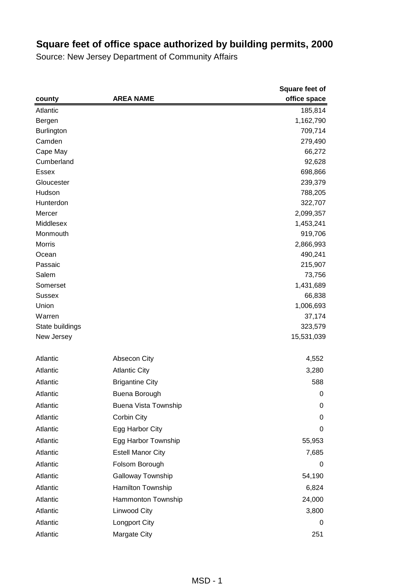|                   |                          | Square feet of |
|-------------------|--------------------------|----------------|
| county            | <b>AREA NAME</b>         | office space   |
| Atlantic          |                          | 185,814        |
| Bergen            |                          | 1,162,790      |
| <b>Burlington</b> |                          | 709,714        |
| Camden            |                          | 279,490        |
| Cape May          |                          | 66,272         |
| Cumberland        |                          | 92,628         |
| <b>Essex</b>      |                          | 698,866        |
| Gloucester        |                          | 239,379        |
| Hudson            |                          | 788,205        |
| Hunterdon         |                          | 322,707        |
| Mercer            |                          | 2,099,357      |
| Middlesex         |                          | 1,453,241      |
| Monmouth          |                          | 919,706        |
| Morris            |                          | 2,866,993      |
| Ocean             |                          | 490,241        |
| Passaic           |                          | 215,907        |
| Salem             |                          | 73,756         |
| Somerset          |                          | 1,431,689      |
| <b>Sussex</b>     |                          | 66,838         |
| Union             |                          | 1,006,693      |
| Warren            |                          | 37,174         |
| State buildings   |                          | 323,579        |
| New Jersey        |                          | 15,531,039     |
| Atlantic          | Absecon City             | 4,552          |
| Atlantic          | <b>Atlantic City</b>     | 3,280          |
| Atlantic          | <b>Brigantine City</b>   | 588            |
| Atlantic          | Buena Borough            | 0              |
| Atlantic          | Buena Vista Township     | 0              |
| Atlantic          | Corbin City              | 0              |
| Atlantic          | Egg Harbor City          | 0              |
| Atlantic          | Egg Harbor Township      | 55,953         |
| Atlantic          | <b>Estell Manor City</b> | 7,685          |
| Atlantic          | Folsom Borough           | 0              |
| Atlantic          | Galloway Township        | 54,190         |
| Atlantic          | Hamilton Township        | 6,824          |
| Atlantic          | Hammonton Township       | 24,000         |
| Atlantic          | Linwood City             | 3,800          |
| Atlantic          | Longport City            | 0              |
| Atlantic          | Margate City             | 251            |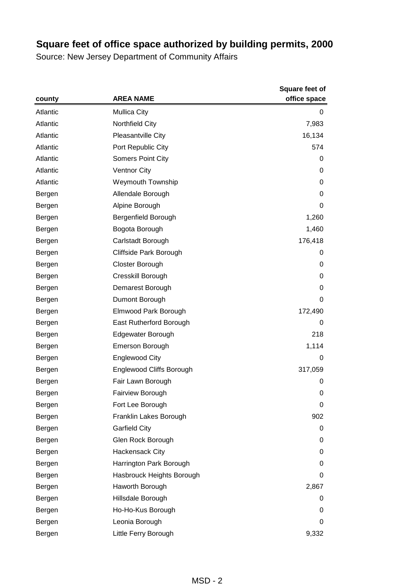|          | <b>AREA NAME</b>                | <b>Square feet of</b> |
|----------|---------------------------------|-----------------------|
| county   |                                 | office space          |
| Atlantic | <b>Mullica City</b>             | 0                     |
| Atlantic | Northfield City                 | 7,983                 |
| Atlantic | Pleasantville City              | 16,134                |
| Atlantic | Port Republic City              | 574                   |
| Atlantic | Somers Point City               | 0                     |
| Atlantic | <b>Ventnor City</b>             | 0                     |
| Atlantic | <b>Weymouth Township</b>        | 0                     |
| Bergen   | Allendale Borough               | 0                     |
| Bergen   | Alpine Borough                  | 0                     |
| Bergen   | Bergenfield Borough             | 1,260                 |
| Bergen   | Bogota Borough                  | 1,460                 |
| Bergen   | Carlstadt Borough               | 176,418               |
| Bergen   | Cliffside Park Borough          | 0                     |
| Bergen   | Closter Borough                 | 0                     |
| Bergen   | Cresskill Borough               | 0                     |
| Bergen   | Demarest Borough                | 0                     |
| Bergen   | Dumont Borough                  | 0                     |
| Bergen   | Elmwood Park Borough            | 172,490               |
| Bergen   | East Rutherford Borough         | 0                     |
| Bergen   | Edgewater Borough               | 218                   |
| Bergen   | Emerson Borough                 | 1,114                 |
| Bergen   | <b>Englewood City</b>           | 0                     |
| Bergen   | <b>Englewood Cliffs Borough</b> | 317,059               |
| Bergen   | Fair Lawn Borough               | 0                     |
| Bergen   | Fairview Borough                | 0                     |
| Bergen   | Fort Lee Borough                | 0                     |
| Bergen   | Franklin Lakes Borough          | 902                   |
| Bergen   | <b>Garfield City</b>            | 0                     |
| Bergen   | Glen Rock Borough               | 0                     |
| Bergen   | Hackensack City                 | 0                     |
| Bergen   | Harrington Park Borough         | 0                     |
| Bergen   | Hasbrouck Heights Borough       | 0                     |
| Bergen   | Haworth Borough                 | 2,867                 |
| Bergen   | Hillsdale Borough               | 0                     |
| Bergen   | Ho-Ho-Kus Borough               | 0                     |
| Bergen   | Leonia Borough                  | 0                     |
| Bergen   | Little Ferry Borough            | 9,332                 |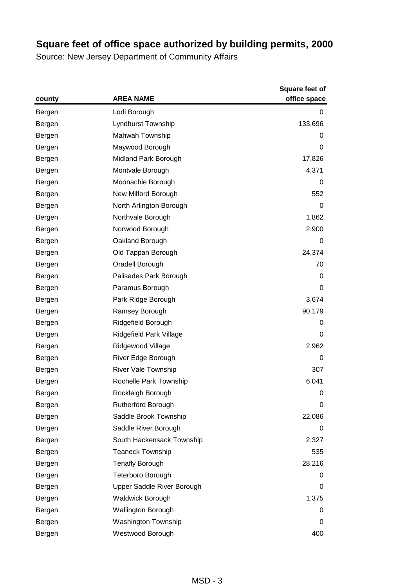|        |                            | <b>Square feet of</b> |
|--------|----------------------------|-----------------------|
| county | <b>AREA NAME</b>           | office space          |
| Bergen | Lodi Borough               | 0                     |
| Bergen | Lyndhurst Township         | 133,696               |
| Bergen | Mahwah Township            | 0                     |
| Bergen | Maywood Borough            | 0                     |
| Bergen | Midland Park Borough       | 17,826                |
| Bergen | Montvale Borough           | 4,371                 |
| Bergen | Moonachie Borough          | 0                     |
| Bergen | New Milford Borough        | 552                   |
| Bergen | North Arlington Borough    | 0                     |
| Bergen | Northvale Borough          | 1,862                 |
| Bergen | Norwood Borough            | 2,900                 |
| Bergen | Oakland Borough            | 0                     |
| Bergen | Old Tappan Borough         | 24,374                |
| Bergen | Oradell Borough            | 70                    |
| Bergen | Palisades Park Borough     | 0                     |
| Bergen | Paramus Borough            | 0                     |
| Bergen | Park Ridge Borough         | 3,674                 |
| Bergen | Ramsey Borough             | 90,179                |
| Bergen | Ridgefield Borough         | 0                     |
| Bergen | Ridgefield Park Village    | 0                     |
| Bergen | Ridgewood Village          | 2,962                 |
| Bergen | River Edge Borough         | 0                     |
| Bergen | <b>River Vale Township</b> | 307                   |
| Bergen | Rochelle Park Township     | 6,041                 |
| Bergen | Rockleigh Borough          | 0                     |
| Bergen | <b>Rutherford Borough</b>  | 0                     |
| Bergen | Saddle Brook Township      | 22,086                |
| Bergen | Saddle River Borough       | 0                     |
| Bergen | South Hackensack Township  | 2,327                 |
| Bergen | <b>Teaneck Township</b>    | 535                   |
| Bergen | <b>Tenafly Borough</b>     | 28,216                |
| Bergen | Teterboro Borough          | 0                     |
| Bergen | Upper Saddle River Borough | 0                     |
| Bergen | <b>Waldwick Borough</b>    | 1,375                 |
| Bergen | <b>Wallington Borough</b>  | 0                     |
| Bergen | Washington Township        | 0                     |
| Bergen | Westwood Borough           | 400                   |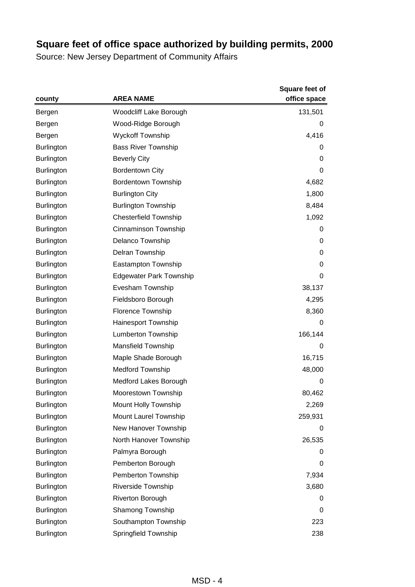|                   | <b>AREA NAME</b>               | <b>Square feet of</b><br>office space |
|-------------------|--------------------------------|---------------------------------------|
| county            |                                |                                       |
| Bergen            | Woodcliff Lake Borough         | 131,501                               |
| Bergen            | Wood-Ridge Borough             | 0                                     |
| Bergen            | <b>Wyckoff Township</b>        | 4,416                                 |
| <b>Burlington</b> | <b>Bass River Township</b>     | 0                                     |
| <b>Burlington</b> | <b>Beverly City</b>            | 0                                     |
| <b>Burlington</b> | <b>Bordentown City</b>         | 0                                     |
| <b>Burlington</b> | <b>Bordentown Township</b>     | 4,682                                 |
| <b>Burlington</b> | <b>Burlington City</b>         | 1,800                                 |
| <b>Burlington</b> | <b>Burlington Township</b>     | 8,484                                 |
| <b>Burlington</b> | <b>Chesterfield Township</b>   | 1,092                                 |
| <b>Burlington</b> | Cinnaminson Township           | 0                                     |
| <b>Burlington</b> | Delanco Township               | 0                                     |
| <b>Burlington</b> | Delran Township                | 0                                     |
| <b>Burlington</b> | Eastampton Township            | 0                                     |
| <b>Burlington</b> | <b>Edgewater Park Township</b> | 0                                     |
| <b>Burlington</b> | Evesham Township               | 38,137                                |
| <b>Burlington</b> | Fieldsboro Borough             | 4,295                                 |
| <b>Burlington</b> | <b>Florence Township</b>       | 8,360                                 |
| <b>Burlington</b> | <b>Hainesport Township</b>     | 0                                     |
| <b>Burlington</b> | <b>Lumberton Township</b>      | 166,144                               |
| <b>Burlington</b> | Mansfield Township             | 0                                     |
| <b>Burlington</b> | Maple Shade Borough            | 16,715                                |
| <b>Burlington</b> | <b>Medford Township</b>        | 48,000                                |
| <b>Burlington</b> | Medford Lakes Borough          | 0                                     |
| <b>Burlington</b> | Moorestown Township            | 80,462                                |
| <b>Burlington</b> | Mount Holly Township           | 2,269                                 |
| <b>Burlington</b> | Mount Laurel Township          | 259,931                               |
| <b>Burlington</b> | New Hanover Township           | 0                                     |
| <b>Burlington</b> | North Hanover Township         | 26,535                                |
| <b>Burlington</b> | Palmyra Borough                | 0                                     |
| <b>Burlington</b> | Pemberton Borough              | 0                                     |
| <b>Burlington</b> | Pemberton Township             | 7,934                                 |
| <b>Burlington</b> | Riverside Township             | 3,680                                 |
| <b>Burlington</b> | Riverton Borough               | 0                                     |
| <b>Burlington</b> | Shamong Township               | 0                                     |
| <b>Burlington</b> | Southampton Township           | 223                                   |
| <b>Burlington</b> | Springfield Township           | 238                                   |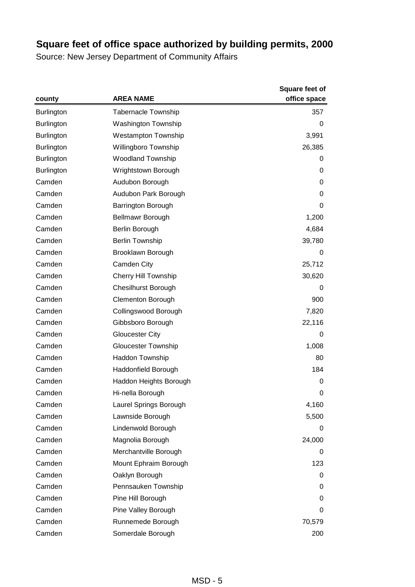|                   | <b>AREA NAME</b>            | <b>Square feet of</b> |
|-------------------|-----------------------------|-----------------------|
| county            |                             | office space          |
| <b>Burlington</b> | <b>Tabernacle Township</b>  | 357                   |
| <b>Burlington</b> | <b>Washington Township</b>  | 0                     |
| <b>Burlington</b> | <b>Westampton Township</b>  | 3,991                 |
| <b>Burlington</b> | Willingboro Township        | 26,385                |
| <b>Burlington</b> | <b>Woodland Township</b>    | 0                     |
| <b>Burlington</b> | Wrightstown Borough         | 0                     |
| Camden            | Audubon Borough             | 0                     |
| Camden            | Audubon Park Borough        | 0                     |
| Camden            | Barrington Borough          | 0                     |
| Camden            | <b>Bellmawr Borough</b>     | 1,200                 |
| Camden            | Berlin Borough              | 4,684                 |
| Camden            | <b>Berlin Township</b>      | 39,780                |
| Camden            | Brooklawn Borough           | 0                     |
| Camden            | Camden City                 | 25,712                |
| Camden            | <b>Cherry Hill Township</b> | 30,620                |
| Camden            | <b>Chesilhurst Borough</b>  | 0                     |
| Camden            | <b>Clementon Borough</b>    | 900                   |
| Camden            | Collingswood Borough        | 7,820                 |
| Camden            | Gibbsboro Borough           | 22,116                |
| Camden            | <b>Gloucester City</b>      | 0                     |
| Camden            | Gloucester Township         | 1,008                 |
| Camden            | Haddon Township             | 80                    |
| Camden            | Haddonfield Borough         | 184                   |
| Camden            | Haddon Heights Borough      | 0                     |
| Camden            | Hi-nella Borough            | 0                     |
| Camden            | Laurel Springs Borough      | 4,160                 |
| Camden            | Lawnside Borough            | 5,500                 |
| Camden            | Lindenwold Borough          | 0                     |
| Camden            | Magnolia Borough            | 24,000                |
| Camden            | Merchantville Borough       | 0                     |
| Camden            | Mount Ephraim Borough       | 123                   |
| Camden            | Oaklyn Borough              | 0                     |
| Camden            | Pennsauken Township         | 0                     |
| Camden            | Pine Hill Borough           | 0                     |
| Camden            | Pine Valley Borough         | 0                     |
| Camden            | Runnemede Borough           | 70,579                |
| Camden            | Somerdale Borough           | 200                   |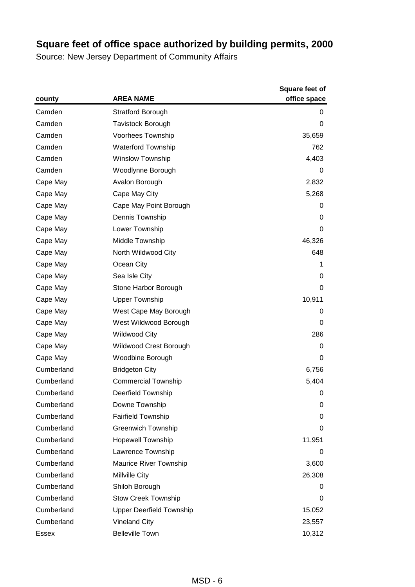|              |                                 | Square feet of |
|--------------|---------------------------------|----------------|
| county       | <b>AREA NAME</b>                | office space   |
| Camden       | <b>Stratford Borough</b>        | 0              |
| Camden       | <b>Tavistock Borough</b>        | 0              |
| Camden       | Voorhees Township               | 35,659         |
| Camden       | <b>Waterford Township</b>       | 762            |
| Camden       | Winslow Township                | 4,403          |
| Camden       | Woodlynne Borough               | 0              |
| Cape May     | Avalon Borough                  | 2,832          |
| Cape May     | Cape May City                   | 5,268          |
| Cape May     | Cape May Point Borough          | 0              |
| Cape May     | Dennis Township                 | 0              |
| Cape May     | Lower Township                  | 0              |
| Cape May     | Middle Township                 | 46,326         |
| Cape May     | North Wildwood City             | 648            |
| Cape May     | Ocean City                      | 1              |
| Cape May     | Sea Isle City                   | 0              |
| Cape May     | Stone Harbor Borough            | 0              |
| Cape May     | <b>Upper Township</b>           | 10,911         |
| Cape May     | West Cape May Borough           | 0              |
| Cape May     | West Wildwood Borough           | 0              |
| Cape May     | <b>Wildwood City</b>            | 286            |
| Cape May     | Wildwood Crest Borough          | 0              |
| Cape May     | Woodbine Borough                | 0              |
| Cumberland   | <b>Bridgeton City</b>           | 6,756          |
| Cumberland   | <b>Commercial Township</b>      | 5,404          |
| Cumberland   | <b>Deerfield Township</b>       | 0              |
| Cumberland   | Downe Township                  | 0              |
| Cumberland   | <b>Fairfield Township</b>       | 0              |
| Cumberland   | <b>Greenwich Township</b>       | 0              |
| Cumberland   | <b>Hopewell Township</b>        | 11,951         |
| Cumberland   | Lawrence Township               | 0              |
| Cumberland   | Maurice River Township          | 3,600          |
| Cumberland   | Millville City                  | 26,308         |
| Cumberland   | Shiloh Borough                  | 0              |
| Cumberland   | <b>Stow Creek Township</b>      | 0              |
| Cumberland   | <b>Upper Deerfield Township</b> | 15,052         |
| Cumberland   | <b>Vineland City</b>            | 23,557         |
| <b>Essex</b> | <b>Belleville Town</b>          | 10,312         |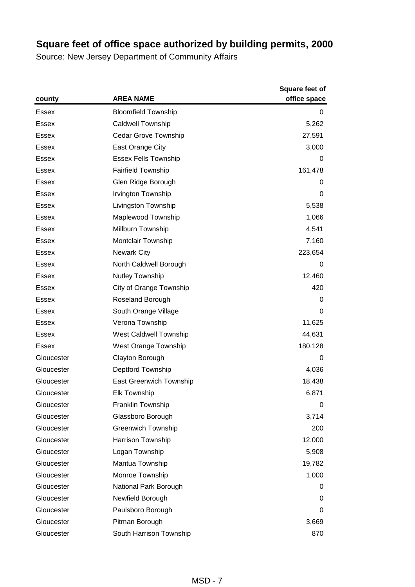|              | <b>AREA NAME</b>               | <b>Square feet of</b><br>office space |
|--------------|--------------------------------|---------------------------------------|
| county       |                                |                                       |
| <b>Essex</b> | <b>Bloomfield Township</b>     | 0                                     |
| Essex        | <b>Caldwell Township</b>       | 5,262                                 |
| Essex        | Cedar Grove Township           | 27,591                                |
| Essex        | East Orange City               | 3,000                                 |
| <b>Essex</b> | <b>Essex Fells Township</b>    | 0                                     |
| Essex        | <b>Fairfield Township</b>      | 161,478                               |
| Essex        | Glen Ridge Borough             | 0                                     |
| Essex        | Irvington Township             | 0                                     |
| <b>Essex</b> | Livingston Township            | 5,538                                 |
| Essex        | Maplewood Township             | 1,066                                 |
| <b>Essex</b> | Millburn Township              | 4,541                                 |
| Essex        | <b>Montclair Township</b>      | 7,160                                 |
| Essex        | <b>Newark City</b>             | 223,654                               |
| <b>Essex</b> | North Caldwell Borough         | 0                                     |
| <b>Essex</b> | <b>Nutley Township</b>         | 12,460                                |
| Essex        | City of Orange Township        | 420                                   |
| Essex        | Roseland Borough               | 0                                     |
| Essex        | South Orange Village           | 0                                     |
| <b>Essex</b> | Verona Township                | 11,625                                |
| Essex        | West Caldwell Township         | 44,631                                |
| Essex        | West Orange Township           | 180,128                               |
| Gloucester   | Clayton Borough                | 0                                     |
| Gloucester   | Deptford Township              | 4,036                                 |
| Gloucester   | <b>East Greenwich Township</b> | 18,438                                |
| Gloucester   | <b>Elk Township</b>            | 6,871                                 |
| Gloucester   | Franklin Township              | 0                                     |
| Gloucester   | Glassboro Borough              | 3,714                                 |
| Gloucester   | <b>Greenwich Township</b>      | 200                                   |
| Gloucester   | Harrison Township              | 12,000                                |
| Gloucester   | Logan Township                 | 5,908                                 |
| Gloucester   | Mantua Township                | 19,782                                |
| Gloucester   | Monroe Township                | 1,000                                 |
| Gloucester   | National Park Borough          | 0                                     |
| Gloucester   | Newfield Borough               | 0                                     |
| Gloucester   | Paulsboro Borough              | 0                                     |
| Gloucester   | Pitman Borough                 | 3,669                                 |
| Gloucester   | South Harrison Township        | 870                                   |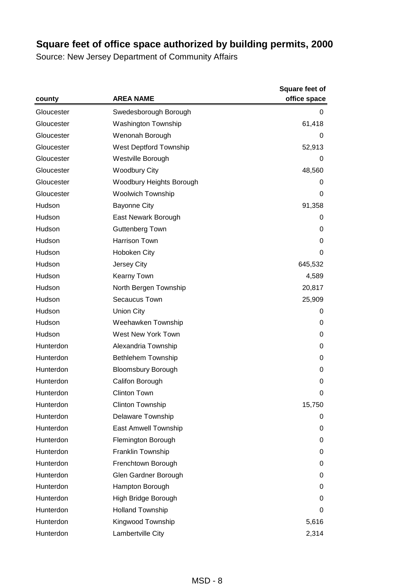|            | <b>AREA NAME</b>          | <b>Square feet of</b><br>office space |
|------------|---------------------------|---------------------------------------|
| county     |                           |                                       |
| Gloucester | Swedesborough Borough     | 0                                     |
| Gloucester | Washington Township       | 61,418                                |
| Gloucester | Wenonah Borough           | 0                                     |
| Gloucester | West Deptford Township    | 52,913                                |
| Gloucester | Westville Borough         | 0                                     |
| Gloucester | <b>Woodbury City</b>      | 48,560                                |
| Gloucester | Woodbury Heights Borough  | 0                                     |
| Gloucester | Woolwich Township         | 0                                     |
| Hudson     | <b>Bayonne City</b>       | 91,358                                |
| Hudson     | East Newark Borough       | 0                                     |
| Hudson     | <b>Guttenberg Town</b>    | 0                                     |
| Hudson     | Harrison Town             | 0                                     |
| Hudson     | Hoboken City              | 0                                     |
| Hudson     | Jersey City               | 645,532                               |
| Hudson     | Kearny Town               | 4,589                                 |
| Hudson     | North Bergen Township     | 20,817                                |
| Hudson     | Secaucus Town             | 25,909                                |
| Hudson     | <b>Union City</b>         | 0                                     |
| Hudson     | Weehawken Township        | 0                                     |
| Hudson     | West New York Town        | 0                                     |
| Hunterdon  | Alexandria Township       | 0                                     |
| Hunterdon  | <b>Bethlehem Township</b> | 0                                     |
| Hunterdon  | <b>Bloomsbury Borough</b> | 0                                     |
| Hunterdon  | Califon Borough           | 0                                     |
| Hunterdon  | <b>Clinton Town</b>       | 0                                     |
| Hunterdon  | <b>Clinton Township</b>   | 15,750                                |
| Hunterdon  | <b>Delaware Township</b>  | 0                                     |
| Hunterdon  | East Amwell Township      | 0                                     |
| Hunterdon  | Flemington Borough        | 0                                     |
| Hunterdon  | Franklin Township         | 0                                     |
| Hunterdon  | Frenchtown Borough        | 0                                     |
| Hunterdon  | Glen Gardner Borough      | 0                                     |
| Hunterdon  | Hampton Borough           | 0                                     |
| Hunterdon  | High Bridge Borough       | 0                                     |
| Hunterdon  | <b>Holland Township</b>   | 0                                     |
| Hunterdon  | Kingwood Township         | 5,616                                 |
| Hunterdon  | Lambertville City         | 2,314                                 |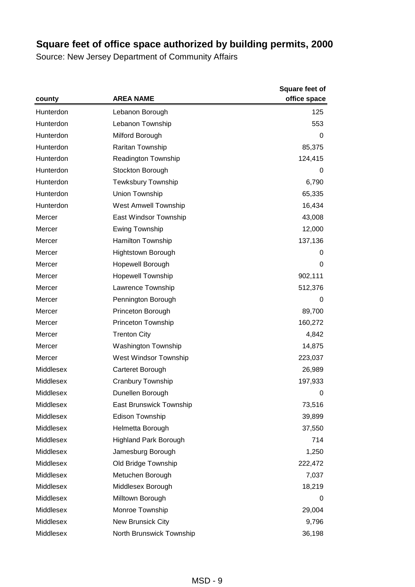|           |                             | <b>Square feet of</b> |
|-----------|-----------------------------|-----------------------|
| county    | <b>AREA NAME</b>            | office space          |
| Hunterdon | Lebanon Borough             | 125                   |
| Hunterdon | Lebanon Township            | 553                   |
| Hunterdon | Milford Borough             | 0                     |
| Hunterdon | Raritan Township            | 85,375                |
| Hunterdon | Readington Township         | 124,415               |
| Hunterdon | Stockton Borough            | 0                     |
| Hunterdon | <b>Tewksbury Township</b>   | 6,790                 |
| Hunterdon | Union Township              | 65,335                |
| Hunterdon | <b>West Amwell Township</b> | 16,434                |
| Mercer    | East Windsor Township       | 43,008                |
| Mercer    | <b>Ewing Township</b>       | 12,000                |
| Mercer    | <b>Hamilton Township</b>    | 137,136               |
| Mercer    | <b>Hightstown Borough</b>   | 0                     |
| Mercer    | Hopewell Borough            | 0                     |
| Mercer    | <b>Hopewell Township</b>    | 902,111               |
| Mercer    | Lawrence Township           | 512,376               |
| Mercer    | Pennington Borough          | 0                     |
| Mercer    | Princeton Borough           | 89,700                |
| Mercer    | Princeton Township          | 160,272               |
| Mercer    | <b>Trenton City</b>         | 4,842                 |
| Mercer    | Washington Township         | 14,875                |
| Mercer    | West Windsor Township       | 223,037               |
| Middlesex | Carteret Borough            | 26,989                |
| Middlesex | Cranbury Township           | 197,933               |
| Middlesex | Dunellen Borough            | 0                     |
| Middlesex | East Brunswick Township     | 73,516                |
| Middlesex | Edison Township             | 39,899                |
| Middlesex | Helmetta Borough            | 37,550                |
| Middlesex | Highland Park Borough       | 714                   |
| Middlesex | Jamesburg Borough           | 1,250                 |
| Middlesex | Old Bridge Township         | 222,472               |
| Middlesex | Metuchen Borough            | 7,037                 |
| Middlesex | Middlesex Borough           | 18,219                |
| Middlesex | Milltown Borough            | 0                     |
| Middlesex | Monroe Township             | 29,004                |
| Middlesex | New Brunsick City           | 9,796                 |
| Middlesex | North Brunswick Township    | 36,198                |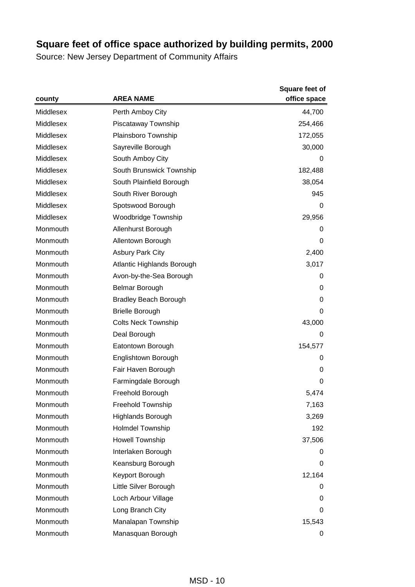| county    | <b>AREA NAME</b>             | Square feet of<br>office space |
|-----------|------------------------------|--------------------------------|
| Middlesex | Perth Amboy City             | 44,700                         |
| Middlesex | Piscataway Township          | 254,466                        |
| Middlesex | Plainsboro Township          | 172,055                        |
| Middlesex | Sayreville Borough           | 30,000                         |
| Middlesex | South Amboy City             | 0                              |
| Middlesex | South Brunswick Township     | 182,488                        |
| Middlesex | South Plainfield Borough     | 38,054                         |
| Middlesex | South River Borough          | 945                            |
| Middlesex | Spotswood Borough            | 0                              |
| Middlesex | Woodbridge Township          | 29,956                         |
| Monmouth  | Allenhurst Borough           | 0                              |
| Monmouth  | Allentown Borough            | 0                              |
| Monmouth  | <b>Asbury Park City</b>      | 2,400                          |
| Monmouth  | Atlantic Highlands Borough   | 3,017                          |
| Monmouth  | Avon-by-the-Sea Borough      | 0                              |
| Monmouth  | <b>Belmar Borough</b>        | 0                              |
| Monmouth  | <b>Bradley Beach Borough</b> | 0                              |
| Monmouth  | <b>Brielle Borough</b>       | 0                              |
| Monmouth  | <b>Colts Neck Township</b>   | 43,000                         |
| Monmouth  | Deal Borough                 | 0                              |
| Monmouth  | Eatontown Borough            | 154,577                        |
| Monmouth  | Englishtown Borough          | 0                              |
| Monmouth  | Fair Haven Borough           | 0                              |
| Monmouth  | Farmingdale Borough          | 0                              |
| Monmouth  | Freehold Borough             | 5,474                          |
| Monmouth  | Freehold Township            | 7,163                          |
| Monmouth  | Highlands Borough            | 3,269                          |
| Monmouth  | <b>Holmdel Township</b>      | 192                            |
| Monmouth  | Howell Township              | 37,506                         |
| Monmouth  | Interlaken Borough           | 0                              |
| Monmouth  | Keansburg Borough            | 0                              |
| Monmouth  | Keyport Borough              | 12,164                         |
| Monmouth  | Little Silver Borough        | 0                              |
| Monmouth  | Loch Arbour Village          | 0                              |
| Monmouth  | Long Branch City             | 0                              |
| Monmouth  | Manalapan Township           | 15,543                         |
| Monmouth  | Manasquan Borough            | 0                              |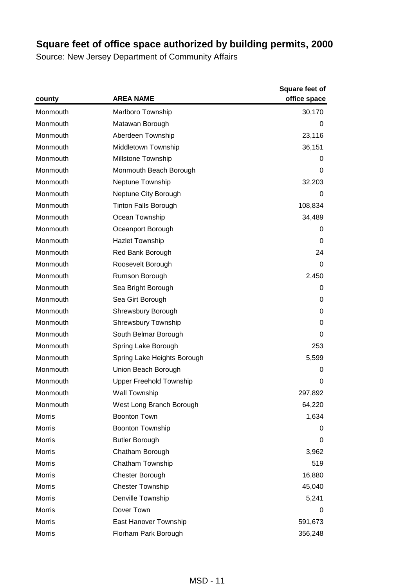| county        | <b>AREA NAME</b>               | <b>Square feet of</b><br>office space |
|---------------|--------------------------------|---------------------------------------|
| Monmouth      | <b>Marlboro Township</b>       | 30,170                                |
| Monmouth      | Matawan Borough                | 0                                     |
| Monmouth      | Aberdeen Township              | 23,116                                |
| Monmouth      | Middletown Township            | 36,151                                |
| Monmouth      | Millstone Township             | 0                                     |
| Monmouth      | Monmouth Beach Borough         | 0                                     |
| Monmouth      | Neptune Township               | 32,203                                |
| Monmouth      | Neptune City Borough           | 0                                     |
| Monmouth      | <b>Tinton Falls Borough</b>    | 108,834                               |
| Monmouth      | Ocean Township                 | 34,489                                |
| Monmouth      | Oceanport Borough              | 0                                     |
| Monmouth      | <b>Hazlet Township</b>         | 0                                     |
| Monmouth      | Red Bank Borough               | 24                                    |
| Monmouth      | Roosevelt Borough              | 0                                     |
| Monmouth      | Rumson Borough                 | 2,450                                 |
| Monmouth      | Sea Bright Borough             | 0                                     |
| Monmouth      | Sea Girt Borough               | 0                                     |
| Monmouth      | Shrewsbury Borough             | 0                                     |
| Monmouth      | <b>Shrewsbury Township</b>     | 0                                     |
| Monmouth      | South Belmar Borough           | 0                                     |
| Monmouth      | Spring Lake Borough            | 253                                   |
| Monmouth      | Spring Lake Heights Borough    | 5,599                                 |
| Monmouth      | Union Beach Borough            | 0                                     |
| Monmouth      | <b>Upper Freehold Township</b> | 0                                     |
| Monmouth      | <b>Wall Township</b>           | 297,892                               |
| Monmouth      | West Long Branch Borough       | 64,220                                |
| Morris        | <b>Boonton Town</b>            | 1,634                                 |
| Morris        | Boonton Township               | 0                                     |
| <b>Morris</b> | <b>Butler Borough</b>          | 0                                     |
| <b>Morris</b> | Chatham Borough                | 3,962                                 |
| Morris        | Chatham Township               | 519                                   |
| Morris        | Chester Borough                | 16,880                                |
| Morris        | <b>Chester Township</b>        | 45,040                                |
| Morris        | Denville Township              | 5,241                                 |
| Morris        | Dover Town                     | 0                                     |
| Morris        | East Hanover Township          | 591,673                               |
| Morris        | Florham Park Borough           | 356,248                               |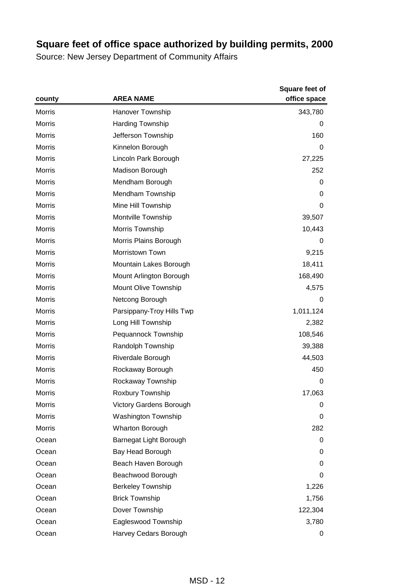|               |                                | <b>Square feet of</b> |
|---------------|--------------------------------|-----------------------|
| county        | <b>AREA NAME</b>               | office space          |
| <b>Morris</b> | <b>Hanover Township</b>        | 343,780               |
| Morris        | <b>Harding Township</b>        | 0                     |
| Morris        | Jefferson Township             | 160                   |
| Morris        | Kinnelon Borough               | 0                     |
| <b>Morris</b> | Lincoln Park Borough           | 27,225                |
| Morris        | Madison Borough                | 252                   |
| Morris        | Mendham Borough                | 0                     |
| Morris        | Mendham Township               | 0                     |
| Morris        | Mine Hill Township             | 0                     |
| <b>Morris</b> | Montville Township             | 39,507                |
| Morris        | Morris Township                | 10,443                |
| Morris        | Morris Plains Borough          | 0                     |
| Morris        | <b>Morristown Town</b>         | 9,215                 |
| Morris        | Mountain Lakes Borough         | 18,411                |
| <b>Morris</b> | Mount Arlington Borough        | 168,490               |
| Morris        | Mount Olive Township           | 4,575                 |
| Morris        | Netcong Borough                | 0                     |
| Morris        | Parsippany-Troy Hills Twp      | 1,011,124             |
| Morris        | Long Hill Township             | 2,382                 |
| <b>Morris</b> | Pequannock Township            | 108,546               |
| Morris        | Randolph Township              | 39,388                |
| Morris        | Riverdale Borough              | 44,503                |
| Morris        | Rockaway Borough               | 450                   |
| Morris        | Rockaway Township              | 0                     |
| Morris        | Roxbury Township               | 17,063                |
| <b>Morris</b> | <b>Victory Gardens Borough</b> | 0                     |
| <b>Morris</b> | <b>Washington Township</b>     | 0                     |
| Morris        | Wharton Borough                | 282                   |
| Ocean         | Barnegat Light Borough         | 0                     |
| Ocean         | Bay Head Borough               | 0                     |
| Ocean         | Beach Haven Borough            | 0                     |
| Ocean         | Beachwood Borough              | 0                     |
| Ocean         | <b>Berkeley Township</b>       | 1,226                 |
| Ocean         | <b>Brick Township</b>          | 1,756                 |
| Ocean         | Dover Township                 | 122,304               |
| Ocean         | Eagleswood Township            | 3,780                 |
| Ocean         | Harvey Cedars Borough          | 0                     |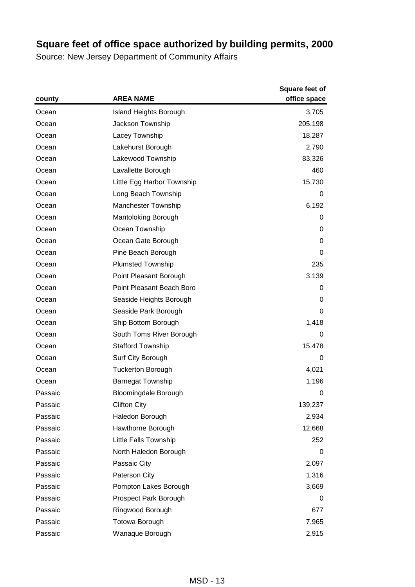|         | <b>AREA NAME</b>              | <b>Square feet of</b><br>office space |
|---------|-------------------------------|---------------------------------------|
| county  |                               |                                       |
| Ocean   | <b>Island Heights Borough</b> | 3,705                                 |
| Ocean   | Jackson Township              | 205,198                               |
| Ocean   | Lacey Township                | 18,287                                |
| Ocean   | Lakehurst Borough             | 2,790                                 |
| Ocean   | Lakewood Township             | 83,326                                |
| Ocean   | Lavallette Borough            | 460                                   |
| Ocean   | Little Egg Harbor Township    | 15,730                                |
| Ocean   | Long Beach Township           | 0                                     |
| Ocean   | Manchester Township           | 6,192                                 |
| Ocean   | Mantoloking Borough           | 0                                     |
| Ocean   | Ocean Township                | 0                                     |
| Ocean   | Ocean Gate Borough            | 0                                     |
| Ocean   | Pine Beach Borough            | 0                                     |
| Ocean   | <b>Plumsted Township</b>      | 235                                   |
| Ocean   | Point Pleasant Borough        | 3,139                                 |
| Ocean   | Point Pleasant Beach Boro     | 0                                     |
| Ocean   | Seaside Heights Borough       | 0                                     |
| Ocean   | Seaside Park Borough          | 0                                     |
| Ocean   | Ship Bottom Borough           | 1,418                                 |
| Ocean   | South Toms River Borough      | 0                                     |
| Ocean   | <b>Stafford Township</b>      | 15,478                                |
| Ocean   | Surf City Borough             | 0                                     |
| Ocean   | <b>Tuckerton Borough</b>      | 4,021                                 |
| Ocean   | <b>Barnegat Township</b>      | 1,196                                 |
| Passaic | <b>Bloomingdale Borough</b>   | 0                                     |
| Passaic | <b>Clifton City</b>           | 139,237                               |
| Passaic | Haledon Borough               | 2,934                                 |
| Passaic | Hawthorne Borough             | 12,668                                |
| Passaic | Little Falls Township         | 252                                   |
| Passaic | North Haledon Borough         | 0                                     |
| Passaic | Passaic City                  | 2,097                                 |
| Passaic | Paterson City                 | 1,316                                 |
| Passaic | Pompton Lakes Borough         | 3,669                                 |
| Passaic | Prospect Park Borough         | 0                                     |
| Passaic | Ringwood Borough              | 677                                   |
| Passaic | Totowa Borough                | 7,965                                 |
| Passaic | Wanaque Borough               | 2,915                                 |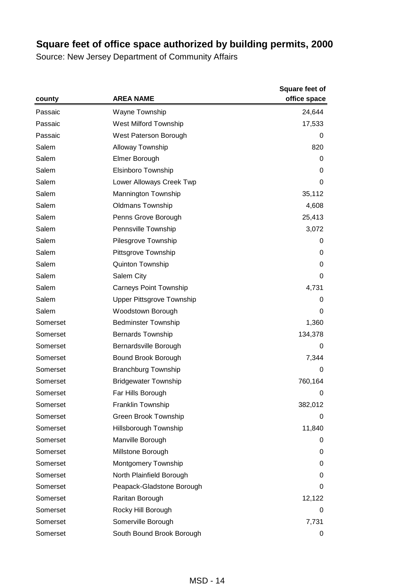|          | <b>AREA NAME</b>                 | <b>Square feet of</b><br>office space |
|----------|----------------------------------|---------------------------------------|
| county   |                                  |                                       |
| Passaic  | Wayne Township                   | 24,644                                |
| Passaic  | West Milford Township            | 17,533                                |
| Passaic  | West Paterson Borough            | 0                                     |
| Salem    | <b>Alloway Township</b>          | 820                                   |
| Salem    | Elmer Borough                    | 0                                     |
| Salem    | Elsinboro Township               | 0                                     |
| Salem    | Lower Alloways Creek Twp         | 0                                     |
| Salem    | Mannington Township              | 35,112                                |
| Salem    | <b>Oldmans Township</b>          | 4,608                                 |
| Salem    | Penns Grove Borough              | 25,413                                |
| Salem    | Pennsville Township              | 3,072                                 |
| Salem    | Pilesgrove Township              | 0                                     |
| Salem    | Pittsgrove Township              | 0                                     |
| Salem    | Quinton Township                 | 0                                     |
| Salem    | Salem City                       | 0                                     |
| Salem    | <b>Carneys Point Township</b>    | 4,731                                 |
| Salem    | <b>Upper Pittsgrove Township</b> | 0                                     |
| Salem    | Woodstown Borough                | 0                                     |
| Somerset | <b>Bedminster Township</b>       | 1,360                                 |
| Somerset | <b>Bernards Township</b>         | 134,378                               |
| Somerset | Bernardsville Borough            | 0                                     |
| Somerset | Bound Brook Borough              | 7,344                                 |
| Somerset | <b>Branchburg Township</b>       | 0                                     |
| Somerset | <b>Bridgewater Township</b>      | 760,164                               |
| Somerset | Far Hills Borough                | 0                                     |
| Somerset | Franklin Township                | 382,012                               |
| Somerset | <b>Green Brook Township</b>      | 0                                     |
| Somerset | Hillsborough Township            | 11,840                                |
| Somerset | Manville Borough                 | 0                                     |
| Somerset | Millstone Borough                | 0                                     |
| Somerset | Montgomery Township              | 0                                     |
| Somerset | North Plainfield Borough         | 0                                     |
| Somerset | Peapack-Gladstone Borough        | 0                                     |
| Somerset | Raritan Borough                  | 12,122                                |
| Somerset | Rocky Hill Borough               | 0                                     |
| Somerset | Somerville Borough               | 7,731                                 |
| Somerset | South Bound Brook Borough        | 0                                     |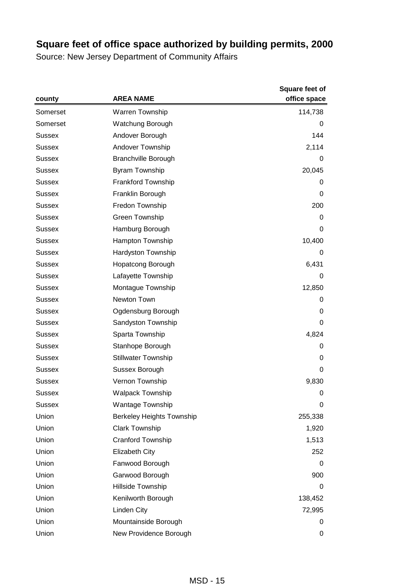|               | <b>AREA NAME</b>                 | <b>Square feet of</b><br>office space |
|---------------|----------------------------------|---------------------------------------|
| county        |                                  |                                       |
| Somerset      | Warren Township                  | 114,738                               |
| Somerset      | Watchung Borough                 | 0                                     |
| <b>Sussex</b> | Andover Borough                  | 144                                   |
| Sussex        | Andover Township                 | 2,114                                 |
| <b>Sussex</b> | <b>Branchville Borough</b>       | 0                                     |
| <b>Sussex</b> | <b>Byram Township</b>            | 20,045                                |
| <b>Sussex</b> | Frankford Township               | 0                                     |
| Sussex        | Franklin Borough                 | 0                                     |
| Sussex        | Fredon Township                  | 200                                   |
| <b>Sussex</b> | Green Township                   | 0                                     |
| Sussex        | Hamburg Borough                  | 0                                     |
| Sussex        | Hampton Township                 | 10,400                                |
| Sussex        | Hardyston Township               | 0                                     |
| Sussex        | <b>Hopatcong Borough</b>         | 6,431                                 |
| <b>Sussex</b> | Lafayette Township               | 0                                     |
| Sussex        | Montague Township                | 12,850                                |
| Sussex        | Newton Town                      | 0                                     |
| Sussex        | Ogdensburg Borough               | 0                                     |
| Sussex        | Sandyston Township               | 0                                     |
| <b>Sussex</b> | Sparta Township                  | 4,824                                 |
| <b>Sussex</b> | Stanhope Borough                 | 0                                     |
| Sussex        | <b>Stillwater Township</b>       | 0                                     |
| <b>Sussex</b> | Sussex Borough                   | 0                                     |
| <b>Sussex</b> | Vernon Township                  | 9,830                                 |
| Sussex        | <b>Walpack Township</b>          | 0                                     |
| <b>Sussex</b> | <b>Wantage Township</b>          | $\pmb{0}$                             |
| Union         | <b>Berkeley Heights Township</b> | 255,338                               |
| Union         | <b>Clark Township</b>            | 1,920                                 |
| Union         | <b>Cranford Township</b>         | 1,513                                 |
| Union         | <b>Elizabeth City</b>            | 252                                   |
| Union         | Fanwood Borough                  | 0                                     |
| Union         | Garwood Borough                  | 900                                   |
| Union         | Hillside Township                | 0                                     |
| Union         | Kenilworth Borough               | 138,452                               |
| Union         | Linden City                      | 72,995                                |
| Union         | Mountainside Borough             | 0                                     |
| Union         | New Providence Borough           | 0                                     |